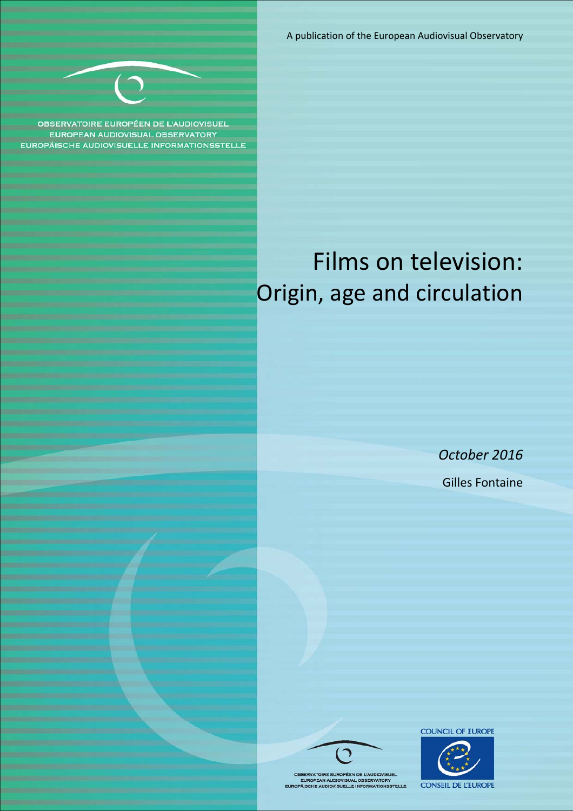A publication of the European Audiovisual Observatory



**OBSERVATOIRE EUROPÉEN DE L'AUDIOVISUE** EUROPEAN AUDIOVISUAL OBSERVATORY **EUROPÄISCHE AUDIOVISUELLE INFORMATIONSSTELLE** 

# Films on television: Origin, age and circulation

*October 2016* Gilles Fontaine





OBSERVATOIRE EUROPÉEN DE L'AUDIOVISUEL<br>EUROPEAN AUDIOVISUAL OBSERVATORY<br>EUROPÄISCHE AUDIOVISUELLE INFORMATIONSSTELLE

COUNCIL OF EUROPE

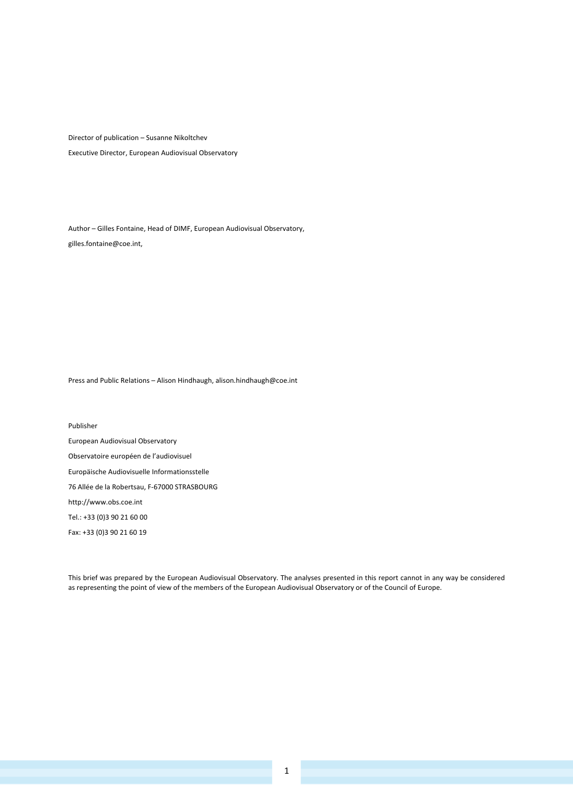Director of publication – Susanne Nikoltchev Executive Director, European Audiovisual Observatory

Author – Gilles Fontaine, Head of DIMF, European Audiovisual Observatory, gilles.fontaine@coe.int,

Press and Public Relations – Alison Hindhaugh, alison.hindhaugh@coe.int

Publisher European Audiovisual Observatory Observatoire européen de l'audiovisuel Europäische Audiovisuelle Informationsstelle 76 Allée de la Robertsau, F‐67000 STRASBOURG http://www.obs.coe.int Tel.: +33 (0)3 90 21 60 00 Fax: +33 (0)3 90 21 60 19

This brief was prepared by the European Audiovisual Observatory. The analyses presented in this report cannot in any way be considered as representing the point of view of the members of the European Audiovisual Observatory or of the Council of Europe.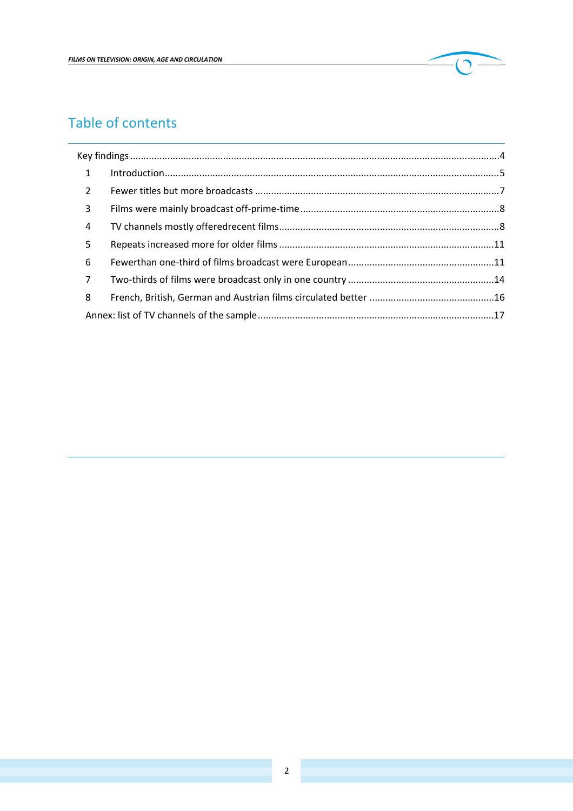

## Table of contents

| $\mathbf{1}$   |  |  |
|----------------|--|--|
| $\overline{2}$ |  |  |
| 3              |  |  |
| $\overline{4}$ |  |  |
| 5              |  |  |
| 6              |  |  |
| $\overline{7}$ |  |  |
| 8              |  |  |
|                |  |  |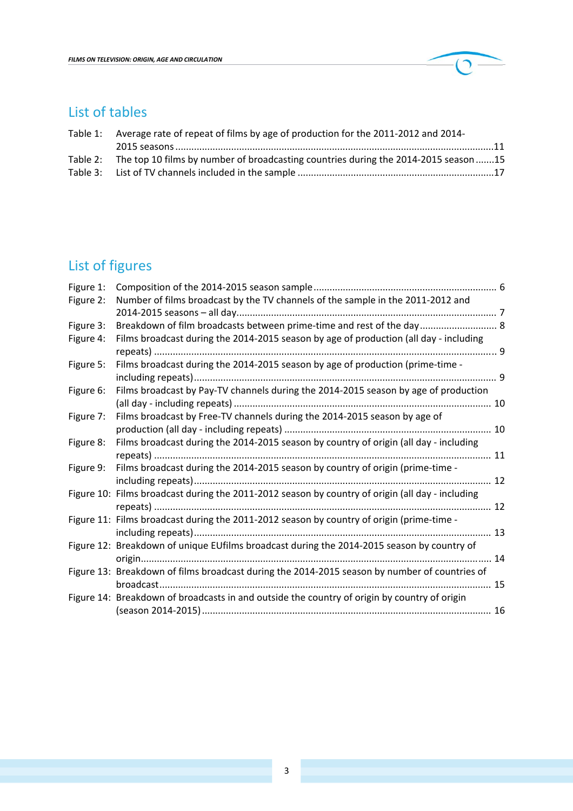

## List of tables

| Table 1: Average rate of repeat of films by age of production for the 2011-2012 and 2014-    |  |
|----------------------------------------------------------------------------------------------|--|
|                                                                                              |  |
| Table 2: The top 10 films by number of broadcasting countries during the 2014-2015 season 15 |  |
|                                                                                              |  |

## List of figures

| Figure 1: |                                                                                                  |    |
|-----------|--------------------------------------------------------------------------------------------------|----|
| Figure 2: | Number of films broadcast by the TV channels of the sample in the 2011-2012 and                  |    |
|           |                                                                                                  |    |
| Figure 3: | Breakdown of film broadcasts between prime-time and rest of the day 8                            |    |
| Figure 4: | Films broadcast during the 2014-2015 season by age of production (all day - including            |    |
|           |                                                                                                  |    |
| Figure 5: | Films broadcast during the 2014-2015 season by age of production (prime-time -                   |    |
|           |                                                                                                  |    |
| Figure 6: | Films broadcast by Pay-TV channels during the 2014-2015 season by age of production              |    |
|           |                                                                                                  |    |
| Figure 7: | Films broadcast by Free-TV channels during the 2014-2015 season by age of                        |    |
|           |                                                                                                  |    |
| Figure 8: | Films broadcast during the 2014-2015 season by country of origin (all day - including            |    |
|           |                                                                                                  |    |
| Figure 9: | Films broadcast during the 2014-2015 season by country of origin (prime-time -                   |    |
|           |                                                                                                  | 12 |
|           | Figure 10: Films broadcast during the 2011-2012 season by country of origin (all day - including |    |
|           |                                                                                                  |    |
|           | Figure 11: Films broadcast during the 2011-2012 season by country of origin (prime-time -        |    |
|           |                                                                                                  |    |
|           | Figure 12: Breakdown of unique EUfilms broadcast during the 2014-2015 season by country of       |    |
|           |                                                                                                  |    |
|           | Figure 13: Breakdown of films broadcast during the 2014-2015 season by number of countries of    |    |
|           |                                                                                                  |    |
|           | Figure 14: Breakdown of broadcasts in and outside the country of origin by country of origin     |    |
|           |                                                                                                  |    |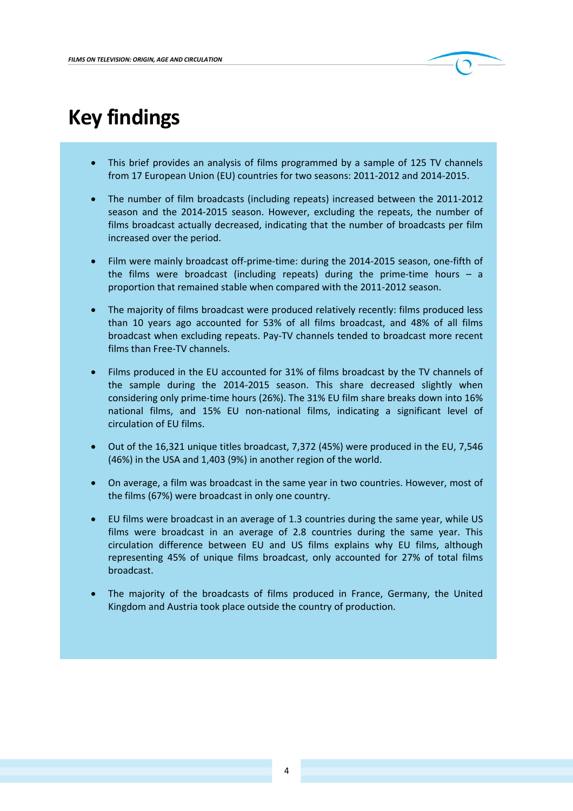

# **Key findings**

- This brief provides an analysis of films programmed by a sample of 125 TV channels from 17 European Union (EU) countries for two seasons: 2011‐2012 and 2014‐2015.
- The number of film broadcasts (including repeats) increased between the 2011‐2012 season and the 2014‐2015 season. However, excluding the repeats, the number of films broadcast actually decreased, indicating that the number of broadcasts per film increased over the period.
- Film were mainly broadcast off‐prime‐time: during the 2014‐2015 season, one‐fifth of the films were broadcast (including repeats) during the prime-time hours  $-$  a proportion that remained stable when compared with the 2011‐2012 season.
- The majority of films broadcast were produced relatively recently: films produced less than 10 years ago accounted for 53% of all films broadcast, and 48% of all films broadcast when excluding repeats. Pay‐TV channels tended to broadcast more recent films than Free‐TV channels.
- Films produced in the EU accounted for 31% of films broadcast by the TV channels of the sample during the 2014‐2015 season. This share decreased slightly when considering only prime‐time hours (26%). The 31% EU film share breaks down into 16% national films, and 15% EU non‐national films, indicating a significant level of circulation of EU films.
- Out of the 16,321 unique titles broadcast, 7,372 (45%) were produced in the EU, 7,546 (46%) in the USA and 1,403 (9%) in another region of the world.
- On average, a film was broadcast in the same year in two countries. However, most of the films (67%) were broadcast in only one country.
- EU films were broadcast in an average of 1.3 countries during the same year, while US films were broadcast in an average of 2.8 countries during the same year. This circulation difference between EU and US films explains why EU films, although representing 45% of unique films broadcast, only accounted for 27% of total films broadcast.
- The majority of the broadcasts of films produced in France, Germany, the United Kingdom and Austria took place outside the country of production.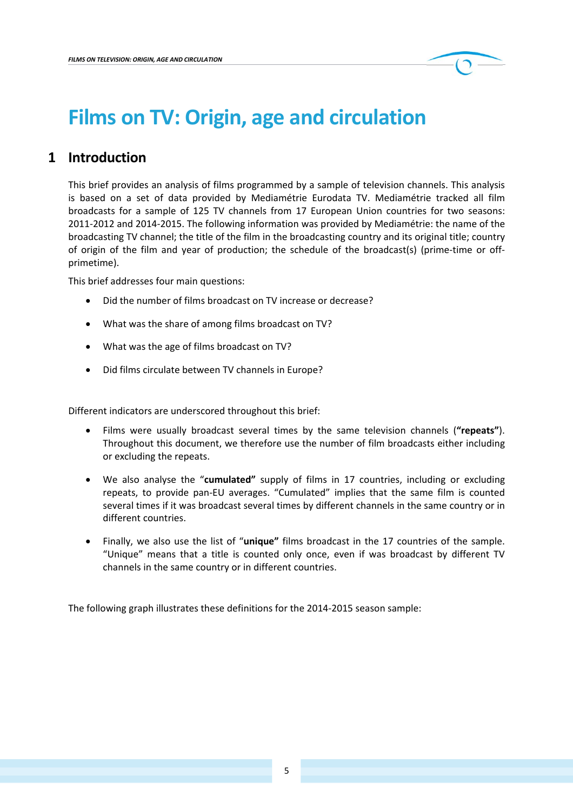# **Films on TV: Origin, age and circulation**

### **1 Introduction**

This brief provides an analysis of films programmed by a sample of television channels. This analysis is based on a set of data provided by Mediamétrie Eurodata TV. Mediamétrie tracked all film broadcasts for a sample of 125 TV channels from 17 European Union countries for two seasons: 2011‐2012 and 2014‐2015. The following information was provided by Mediamétrie: the name of the broadcasting TV channel; the title of the film in the broadcasting country and its original title; country of origin of the film and year of production; the schedule of the broadcast(s) (prime‐time or off‐ primetime).

This brief addresses four main questions:

- Did the number of films broadcast on TV increase or decrease?
- What was the share of among films broadcast on TV?
- What was the age of films broadcast on TV?
- Did films circulate between TV channels in Europe?

Different indicators are underscored throughout this brief:

- Films were usually broadcast several times by the same television channels (**"repeats"**). Throughout this document, we therefore use the number of film broadcasts either including or excluding the repeats.
- We also analyse the "**cumulated"** supply of films in 17 countries, including or excluding repeats, to provide pan‐EU averages. "Cumulated" implies that the same film is counted several times if it was broadcast several times by different channels in the same country or in different countries.
- Finally, we also use the list of "**unique"** films broadcast in the 17 countries of the sample. "Unique" means that a title is counted only once, even if was broadcast by different TV channels in the same country or in different countries.

The following graph illustrates these definitions for the 2014‐2015 season sample: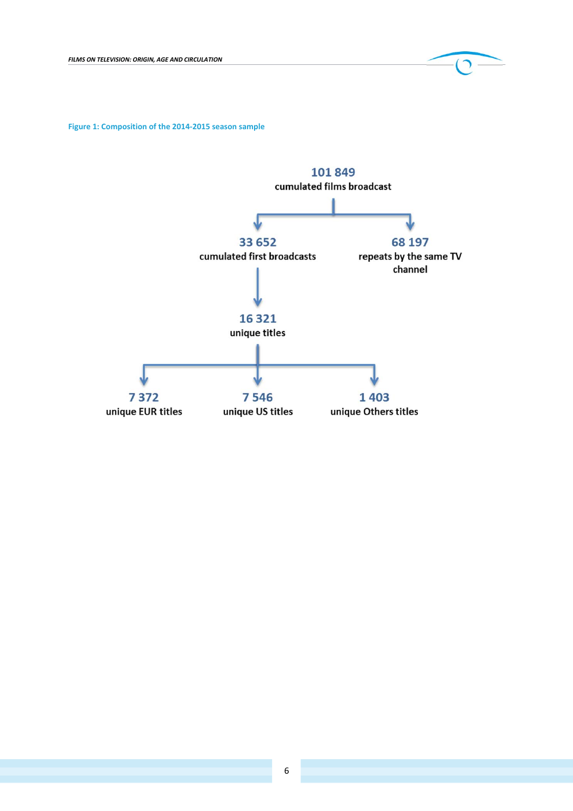**Figure 1: Composition of the 2014‐2015 season sample**

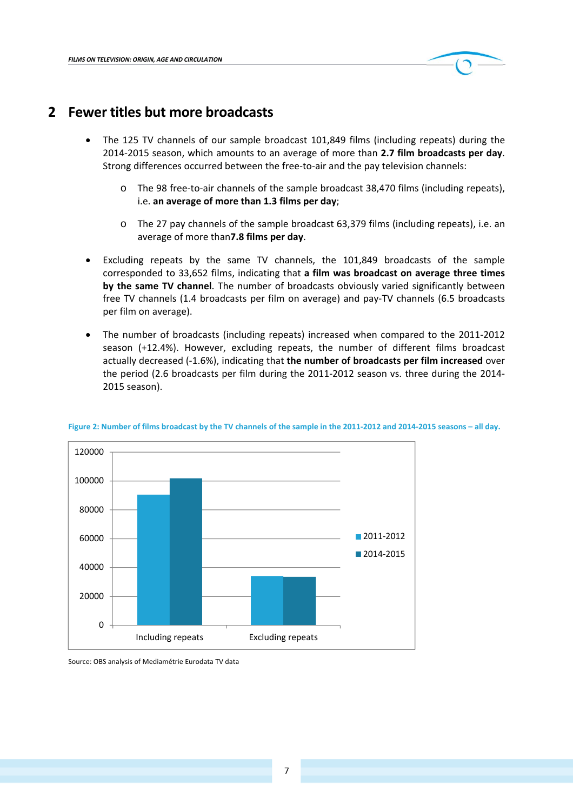

## **2 Fewer titles but more broadcasts**

- The 125 TV channels of our sample broadcast 101,849 films (including repeats) during the 2014‐2015 season, which amounts to an average of more than **2.7 film broadcasts per day**. Strong differences occurred between the free-to-air and the pay television channels:
	- o The 98 free‐to‐air channels of the sample broadcast 38,470 films (including repeats), i.e. **an average of more than 1.3 films per day**;
	- o The 27 pay channels of the sample broadcast 63,379 films (including repeats), i.e. an average of more than**7.8 films per day**.
- Excluding repeats by the same TV channels, the 101,849 broadcasts of the sample corresponded to 33,652 films, indicating that **a film was broadcast on average three times by the same TV channel**. The number of broadcasts obviously varied significantly between free TV channels (1.4 broadcasts per film on average) and pay-TV channels (6.5 broadcasts per film on average).
- The number of broadcasts (including repeats) increased when compared to the 2011‐2012 season (+12.4%). However, excluding repeats, the number of different films broadcast actually decreased (‐1.6%), indicating that **the number of broadcasts per film increased** over the period (2.6 broadcasts per film during the 2011‐2012 season vs. three during the 2014‐ 2015 season).



#### Figure 2: Number of films broadcast by the TV channels of the sample in the 2011-2012 and 2014-2015 seasons - all day.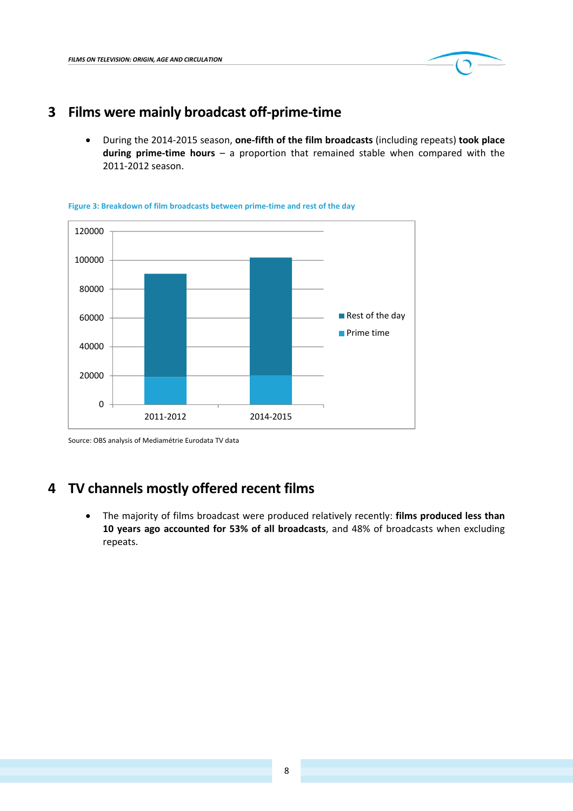

## **3 Films were mainly broadcast off‐prime‐time**

 During the 2014‐2015 season, **one‐fifth of the film broadcasts** (including repeats) **took place during prime‐time hours** – a proportion that remained stable when compared with the 2011‐2012 season.



**Figure 3: Breakdown of film broadcasts between prime‐time and rest of the day**

Source: OBS analysis of Mediamétrie Eurodata TV data

### **4 TV channels mostly offered recent films**

 The majority of films broadcast were produced relatively recently: **films produced less than 10 years ago accounted for 53% of all broadcasts**, and 48% of broadcasts when excluding repeats.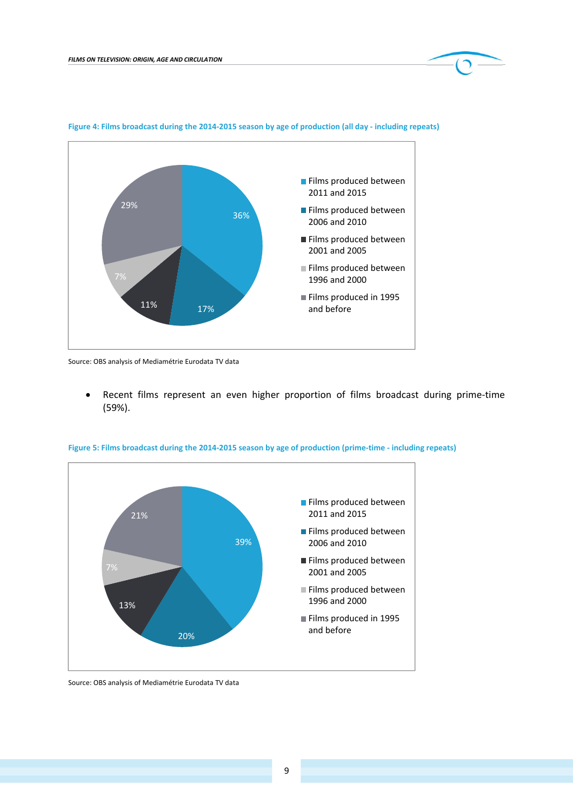

#### Figure 4: Films broadcast during the 2014-2015 season by age of production (all day - including repeats)

Source: OBS analysis of Mediamétrie Eurodata TV data

 Recent films represent an even higher proportion of films broadcast during prime‐time (59%).



Figure 5: Films broadcast during the 2014-2015 season by age of production (prime-time - including repeats)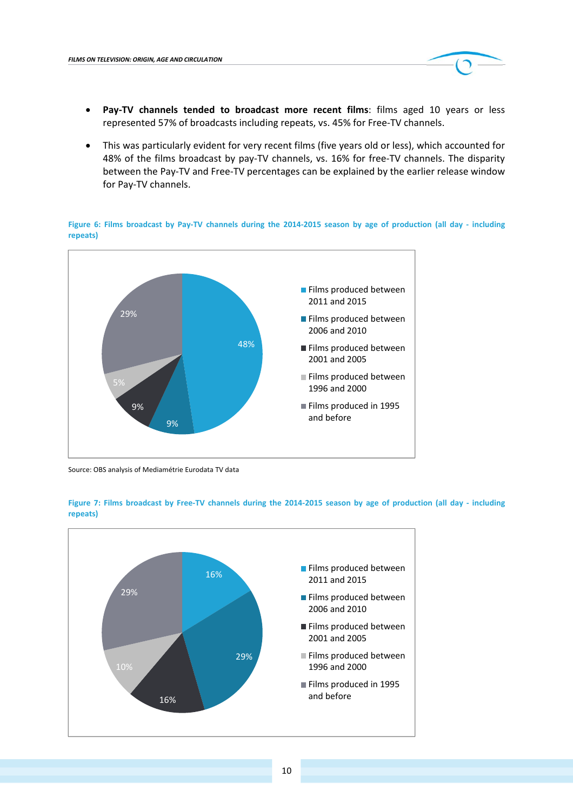

- **Pay‐TV channels tended to broadcast more recent films**: films aged 10 years or less represented 57% of broadcasts including repeats, vs. 45% for Free‐TV channels.
- This was particularly evident for very recent films (five years old or less), which accounted for 48% of the films broadcast by pay‐TV channels, vs. 16% for free‐TV channels. The disparity between the Pay‐TV and Free‐TV percentages can be explained by the earlier release window for Pay‐TV channels.

Figure 6: Films broadcast by Pay-TV channels during the 2014-2015 season by age of production (all day - including **repeats)**



Source: OBS analysis of Mediamétrie Eurodata TV data



Figure 7: Films broadcast by Free-TV channels during the 2014-2015 season by age of production (all day - including **repeats)**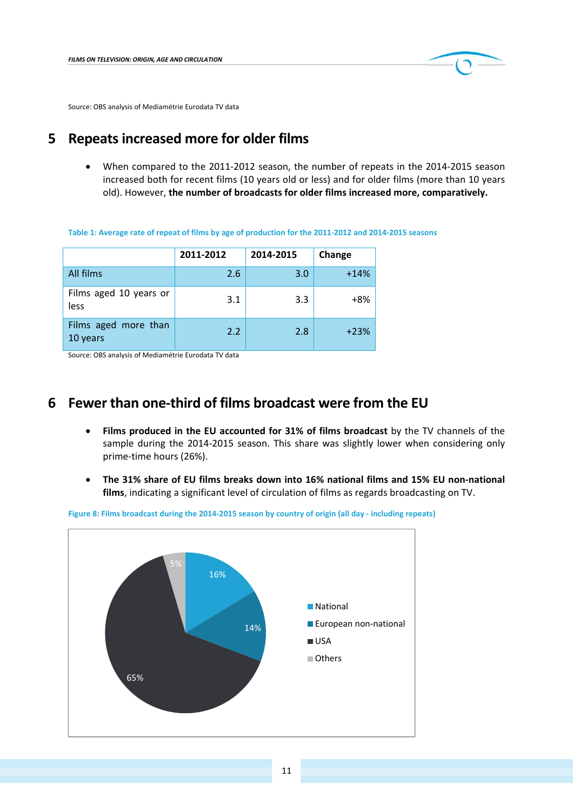

Source: OBS analysis of Mediamétrie Eurodata TV data

### **5 Repeats increased more for older films**

 When compared to the 2011‐2012 season, the number of repeats in the 2014‐2015 season increased both for recent films (10 years old or less) and for older films (more than 10 years old). However, **the number of broadcasts for older films increased more, comparatively.**

|  |  |  | Table 1: Average rate of repeat of films by age of production for the 2011-2012 and 2014-2015 seasons |
|--|--|--|-------------------------------------------------------------------------------------------------------|
|--|--|--|-------------------------------------------------------------------------------------------------------|

|                                  | 2011-2012 | 2014-2015 | Change |
|----------------------------------|-----------|-----------|--------|
| All films                        | 2.6       | 3.0       | $+14%$ |
| Films aged 10 years or<br>less   | 3.1       | 3.3       | $+8%$  |
| Films aged more than<br>10 years | 2.2       | 2.8       | $+23%$ |

Source: OBS analysis of Mediamétrie Eurodata TV data

#### **6 Fewer than one‐third of films broadcast were from the EU**

- **Films produced in the EU accounted for 31% of films broadcast** by the TV channels of the sample during the 2014-2015 season. This share was slightly lower when considering only prime‐time hours (26%).
- **The 31% share of EU films breaks down into 16% national films and 15% EU non‐national films**, indicating a significant level of circulation of films as regards broadcasting on TV.



Figure 8: Films broadcast during the 2014-2015 season by country of origin (all day - including repeats)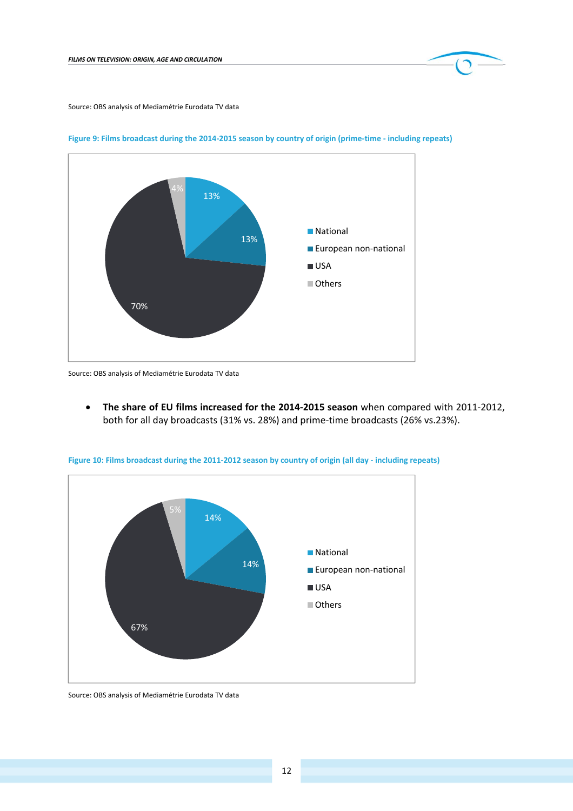

Source: OBS analysis of Mediamétrie Eurodata TV data



Figure 9: Films broadcast during the 2014-2015 season by country of origin (prime-time - including repeats)

Source: OBS analysis of Mediamétrie Eurodata TV data

 **The share of EU films increased for the 2014‐2015 season** when compared with 2011‐2012, both for all day broadcasts (31% vs. 28%) and prime‐time broadcasts (26% vs.23%).



Figure 10: Films broadcast during the 2011-2012 season by country of origin (all day - including repeats)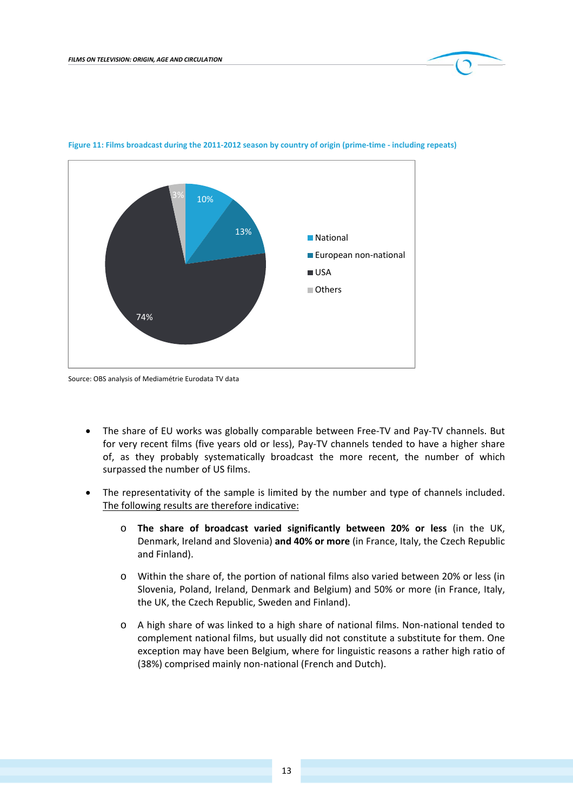

#### Figure 11: Films broadcast during the 2011-2012 season by country of origin (prime-time - including repeats)

Source: OBS analysis of Mediamétrie Eurodata TV data

- The share of EU works was globally comparable between Free‐TV and Pay‐TV channels. But for very recent films (five years old or less), Pay‐TV channels tended to have a higher share of, as they probably systematically broadcast the more recent, the number of which surpassed the number of US films.
- The representativity of the sample is limited by the number and type of channels included. The following results are therefore indicative:
	- o **The share of broadcast varied significantly between 20% or less** (in the UK, Denmark, Ireland and Slovenia) **and 40% or more** (in France, Italy, the Czech Republic and Finland).
	- o Within the share of, the portion of national films also varied between 20% or less (in Slovenia, Poland, Ireland, Denmark and Belgium) and 50% or more (in France, Italy, the UK, the Czech Republic, Sweden and Finland).
	- o A high share of was linked to a high share of national films. Non‐national tended to complement national films, but usually did not constitute a substitute for them. One exception may have been Belgium, where for linguistic reasons a rather high ratio of (38%) comprised mainly non‐national (French and Dutch).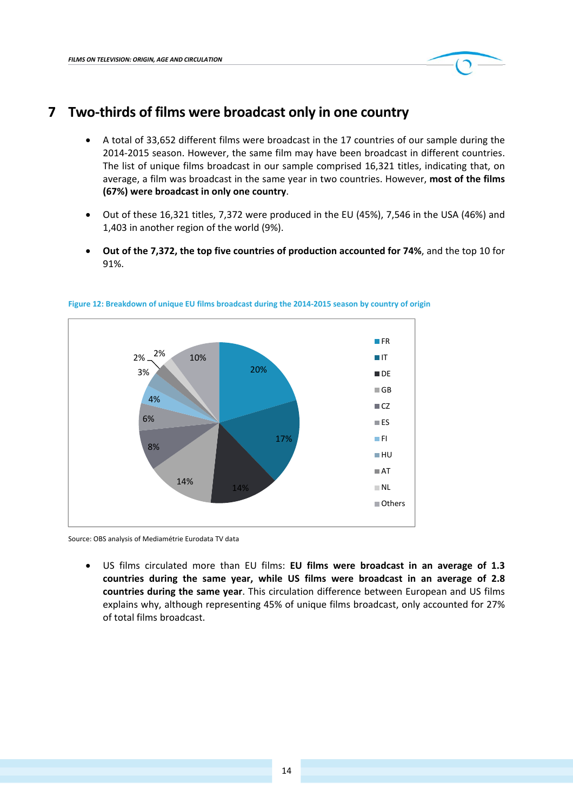14

 US films circulated more than EU films: **EU films were broadcast in an average of 1.3 countries during the same year, while US films were broadcast in an average of 2.8 countries during the same year**. This circulation difference between European and US films explains why, although representing 45% of unique films broadcast, only accounted for 27%

Others

20% 17% 14% 14% 8% 6% 4% 3%  $2\% - \frac{2\%}{10\%}$ **FR IT DE ■GB**  $\blacksquare$  CZ  $\blacksquare$ ES  $\blacksquare$ FI HU **AT** NL

#### **Figure 12: Breakdown of unique EU films broadcast during the 2014‐2015 season by country of origin**

## **7 Two‐thirds of films were broadcast only in one country**

- A total of 33,652 different films were broadcast in the 17 countries of our sample during the 2014‐2015 season. However, the same film may have been broadcast in different countries. The list of unique films broadcast in our sample comprised 16,321 titles, indicating that, on average, a film was broadcast in the same year in two countries. However, **most of the films (67%) were broadcast in only one country**.
- Out of these 16,321 titles, 7,372 were produced in the EU (45%), 7,546 in the USA (46%) and 1,403 in another region of the world (9%).
- **Out of the 7,372, the top five countries of production accounted for 74%**, and the top 10 for 91%.

Source: OBS analysis of Mediamétrie Eurodata TV data

of total films broadcast.

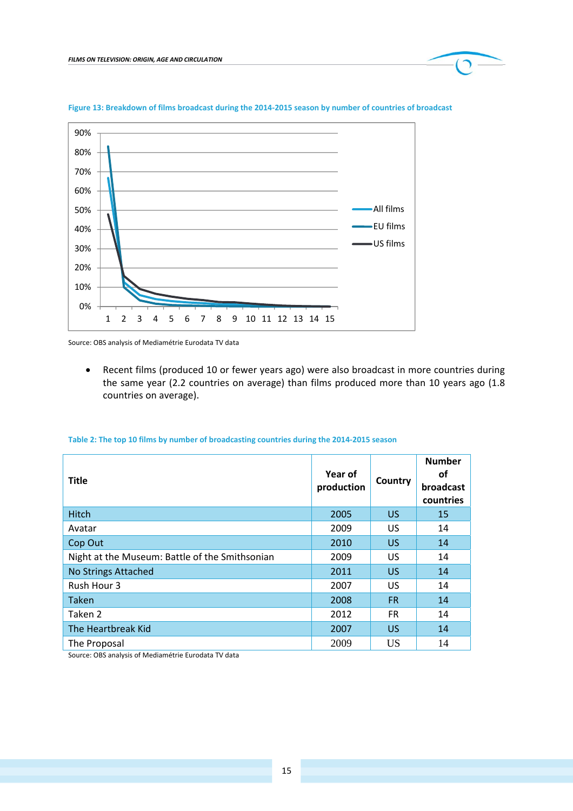

#### Figure 13: Breakdown of films broadcast during the 2014-2015 season by number of countries of broadcast

Source: OBS analysis of Mediamétrie Eurodata TV data

 Recent films (produced 10 or fewer years ago) were also broadcast in more countries during the same year (2.2 countries on average) than films produced more than 10 years ago (1.8 countries on average).

#### **Title Year of Production Country Number of broadcast countries** Hitch 2005 US 15 Avatar 2009 US 14 Cop Out 2010 US 14 Night at the Museum: Battle of the Smithsonian **2009** US 14 No Strings Attached **14** 2011 US 14 Rush Hour 3 2007 US 14 Taken 2008 FR 14 Taken 2 2012 FR 14 The Heartbreak Kid **14** and 2007 US 14 The Proposal 2009 US 14

#### **Table 2: The top 10 films by number of broadcasting countries during the 2014‐2015 season**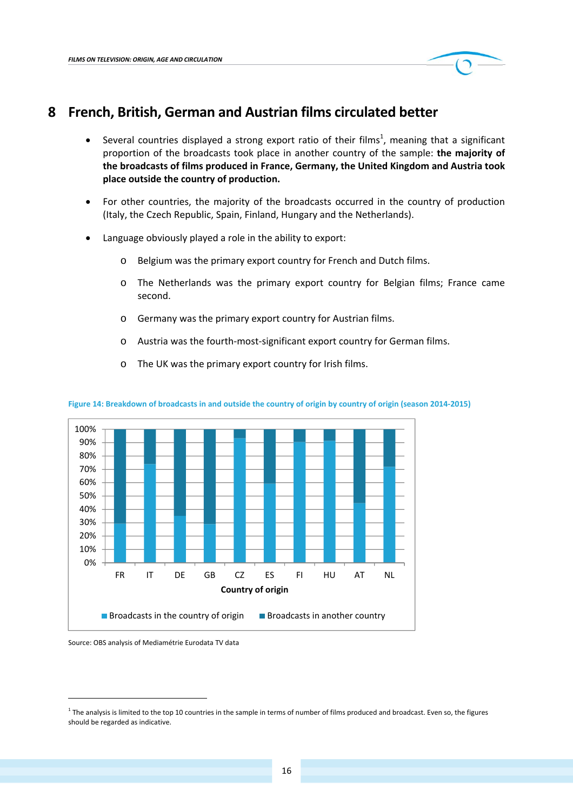

### **8 French, British, German and Austrian films circulated better**

- Several countries displayed a strong export ratio of their films<sup>1</sup>, meaning that a significant proportion of the broadcasts took place in another country of the sample: **the majority of the broadcasts of films produced in France, Germany, the United Kingdom and Austria took place outside the country of production.**
- For other countries, the majority of the broadcasts occurred in the country of production (Italy, the Czech Republic, Spain, Finland, Hungary and the Netherlands).
- Language obviously played a role in the ability to export:
	- o Belgium was the primary export country for French and Dutch films.
	- o The Netherlands was the primary export country for Belgian films; France came second.
	- o Germany was the primary export country for Austrian films.
	- o Austria was the fourth‐most‐significant export country for German films.
	- o The UK was the primary export country for Irish films.



Figure 14: Breakdown of broadcasts in and outside the country of origin by country of origin (season 2014-2015)

Source: OBS analysis of Mediamétrie Eurodata TV data

<u> 1989 - Johann Barn, mars ann an t-Amhain an t-Amhain ann an t-Amhain an t-Amhain an t-Amhain an t-Amhain an t-</u>

 $1$  The analysis is limited to the top 10 countries in the sample in terms of number of films produced and broadcast. Even so, the figures should be regarded as indicative.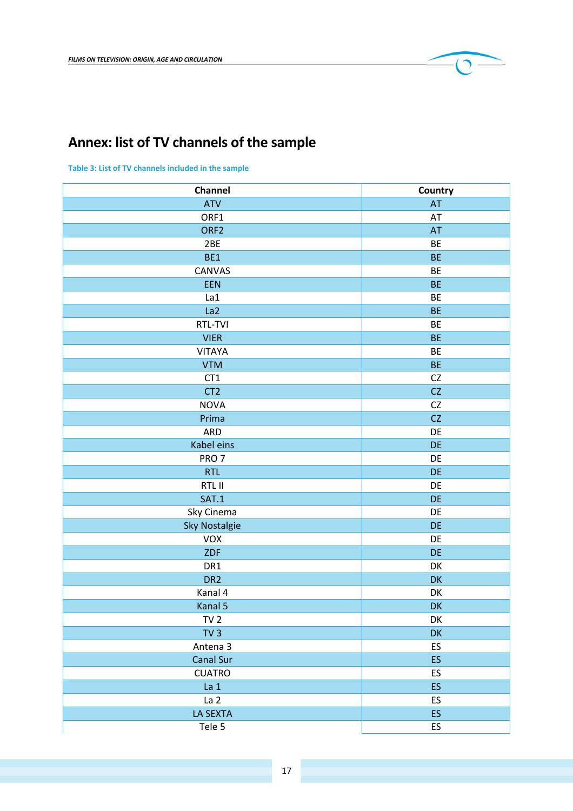

## **Annex: list of TV channels of the sample**

**Table 3: List of TV channels included in the sample**

| Channel              | Country   |
|----------------------|-----------|
| <b>ATV</b>           | AT        |
| ORF1                 | AT        |
| ORF <sub>2</sub>     | AT        |
| 2BE                  | <b>BE</b> |
| BE1                  | <b>BE</b> |
| CANVAS               | <b>BE</b> |
| EEN                  | <b>BE</b> |
| La1                  | <b>BE</b> |
| La <sub>2</sub>      | <b>BE</b> |
| RTL-TVI              | BE        |
| <b>VIER</b>          | <b>BE</b> |
| <b>VITAYA</b>        | BE        |
| <b>VTM</b>           | <b>BE</b> |
| CT1                  | CZ        |
| CT <sub>2</sub>      | CZ        |
| <b>NOVA</b>          | CZ        |
| Prima                | CZ        |
| <b>ARD</b>           | DE        |
| Kabel eins           | DE        |
| PRO <sub>7</sub>     | DE        |
| <b>RTL</b>           | DE        |
| RTL II               | DE        |
| SAT.1                | DE        |
| Sky Cinema           | DE        |
| <b>Sky Nostalgie</b> | DE        |
| VOX                  | DE        |
| ZDF                  | DE        |
| DR1                  | DK        |
| DR <sub>2</sub>      | DK        |
| Kanal 4              | DK        |
| Kanal 5              | DK        |
| TV <sub>2</sub>      | DK        |
| TV <sub>3</sub>      | DK        |
| Antena 3             | ES        |
| Canal Sur            | <b>ES</b> |
| <b>CUATRO</b>        | ES        |
| La <sub>1</sub>      | ES        |
| La <sub>2</sub>      | ES        |
| <b>LA SEXTA</b>      | ES        |
| Tele 5               | ES        |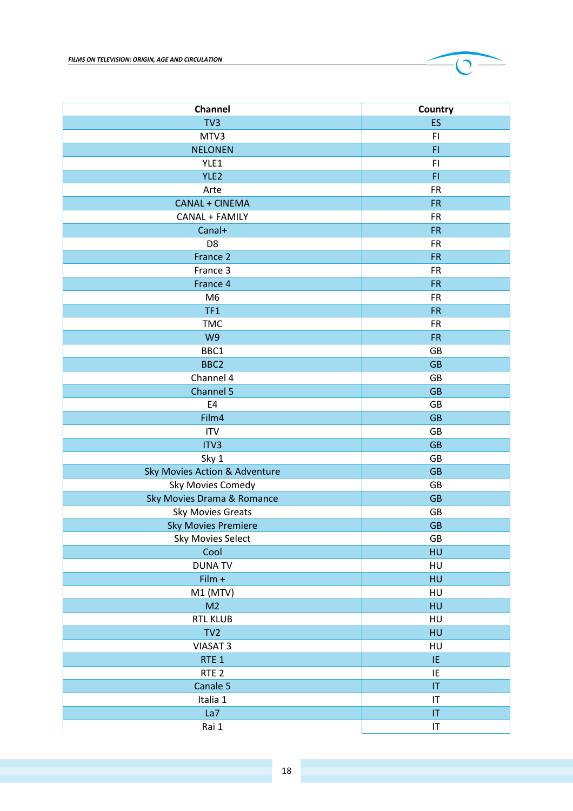

**Channel Channel Country** 

Rai 1 IT